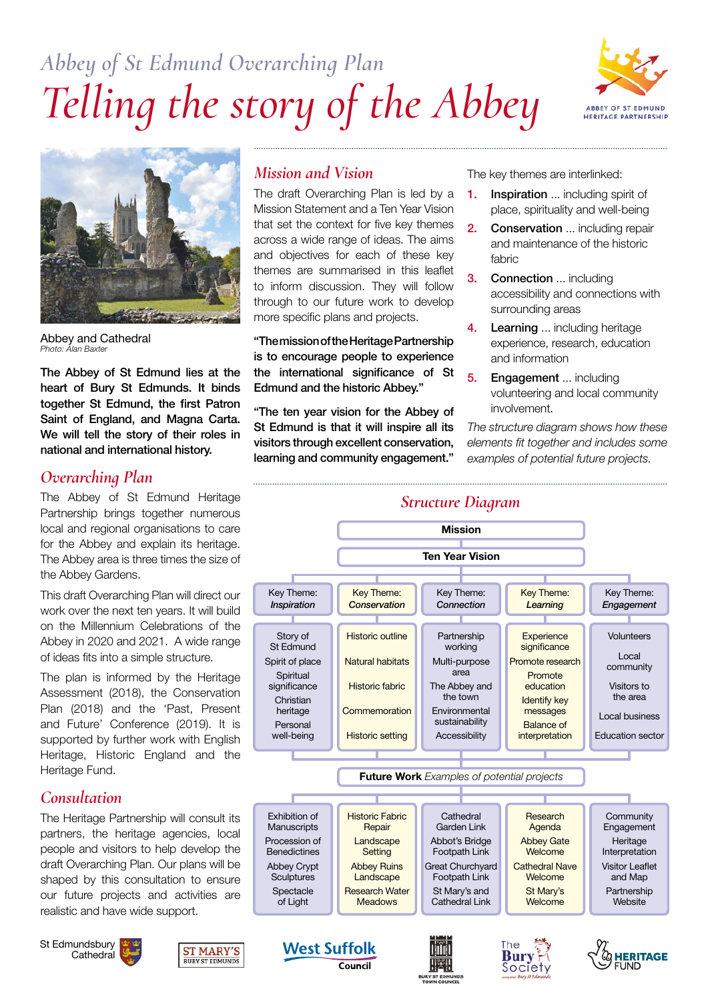# *Abbey of St Edmund Overarching Plan Telling the story of the Abbey*





Abbey and Cathedral *Photo: Alan Baxter*

The Abbey of St Edmund lies at the heart of Bury St Edmunds. It binds together St Edmund, the first Patron Saint of England, and Magna Carta. We will tell the story of their roles in national and international history.

## *Overarching Plan*

The Abbey of St Edmund Heritage Partnership brings together numerous local and regional organisations to care for the Abbey and explain its heritage. The Abbey area is three times the size of the Abbey Gardens.

This draft Overarching Plan will direct our work over the next ten years. It will build on the Millennium Celebrations of the Abbey in 2020 and 2021. A wide range of ideas fits into a simple structure.

The plan is informed by the Heritage Assessment (2018), the Conservation Plan (2018) and the 'Past, Present and Future' Conference (2019). It is supported by further work with English Heritage, Historic England and the Heritage Fund.

## *Consultation*

The Heritage Partnership will consult its partners, the heritage agencies, local people and visitors to help develop the draft Overarching Plan. Our plans will be shaped by this consultation to ensure our future projects and activities are realistic and have wide support.

St Edmundsbury **Cathedral** 



# *Mission and Vision*

The draft Overarching Plan is led by a Mission Statement and a Ten Year Vision that set the context for five key themes across a wide range of ideas. The aims and objectives for each of these key themes are summarised in this leaflet to inform discussion. They will follow through to our future work to develop more specific plans and projects.

"The mission of the Heritage Partnership is to encourage people to experience the international significance of St Edmund and the historic Abbey."

"The ten year vision for the Abbey of St Edmund is that it will inspire all its visitors through excellent conservation, learning and community engagement."

The key themes are interlinked:

- 1. Inspiration ... including spirit of place, spirituality and well-being
- 2. Conservation ... including repair and maintenance of the historic fabric
- 3. Connection ... including accessibility and connections with surrounding areas
- 4. Learning ... including heritage experience, research, education and information
- 5. Engagement ... including volunteering and local community involvement.

*The structure diagram shows how these elements fit together and includes some examples of potential future projects.* 

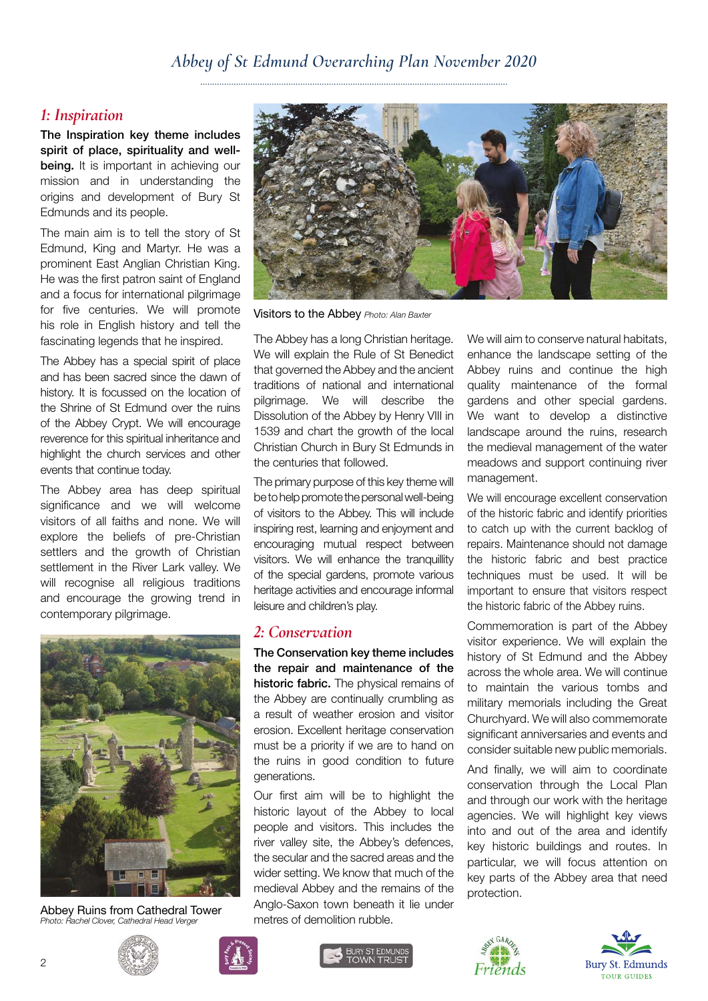## *Abbey of St Edmund Overarching Plan November 2020*

#### *1: Inspiration*

The Inspiration key theme includes spirit of place, spirituality and wellbeing. It is important in achieving our mission and in understanding the origins and development of Bury St Edmunds and its people.

The main aim is to tell the story of St Edmund, King and Martyr. He was a prominent East Anglian Christian King. He was the first patron saint of England and a focus for international pilgrimage for five centuries. We will promote his role in English history and tell the fascinating legends that he inspired.

The Abbey has a special spirit of place and has been sacred since the dawn of history. It is focussed on the location of the Shrine of St Edmund over the ruins of the Abbey Crypt. We will encourage reverence for this spiritual inheritance and highlight the church services and other events that continue today.

The Abbey area has deep spiritual significance and we will welcome visitors of all faiths and none. We will explore the beliefs of pre-Christian settlers and the growth of Christian settlement in the River Lark valley. We will recognise all religious traditions and encourage the growing trend in contemporary pilgrimage.



Abbey Ruins from Cathedral Tower *Photo: Rachel Clover, Cathedral Head Verger*



Visitors to the Abbey *Photo: Alan Baxter*

The Abbey has a long Christian heritage. We will explain the Rule of St Benedict that governed the Abbey and the ancient traditions of national and international pilgrimage. We will describe the Dissolution of the Abbey by Henry VIII in 1539 and chart the growth of the local Christian Church in Bury St Edmunds in the centuries that followed.

The primary purpose of this key theme will be to help promote the personal well-being of visitors to the Abbey. This will include inspiring rest, learning and enjoyment and encouraging mutual respect between visitors. We will enhance the tranquillity of the special gardens, promote various heritage activities and encourage informal leisure and children's play.

#### *2: Conservation*

The Conservation key theme includes the repair and maintenance of the historic fabric. The physical remains of the Abbey are continually crumbling as a result of weather erosion and visitor erosion. Excellent heritage conservation must be a priority if we are to hand on the ruins in good condition to future generations.

Our first aim will be to highlight the historic layout of the Abbey to local people and visitors. This includes the river valley site, the Abbey's defences, the secular and the sacred areas and the wider setting. We know that much of the medieval Abbey and the remains of the Anglo-Saxon town beneath it lie under metres of demolition rubble.

We will aim to conserve natural habitats, enhance the landscape setting of the Abbey ruins and continue the high quality maintenance of the formal gardens and other special gardens. We want to develop a distinctive landscape around the ruins, research the medieval management of the water meadows and support continuing river management.

We will encourage excellent conservation of the historic fabric and identify priorities to catch up with the current backlog of repairs. Maintenance should not damage the historic fabric and best practice techniques must be used. It will be important to ensure that visitors respect the historic fabric of the Abbey ruins.

Commemoration is part of the Abbey visitor experience. We will explain the history of St Edmund and the Abbey across the whole area. We will continue to maintain the various tombs and military memorials including the Great Churchyard. We will also commemorate significant anniversaries and events and consider suitable new public memorials.

And finally, we will aim to coordinate conservation through the Local Plan and through our work with the heritage agencies. We will highlight key views into and out of the area and identify key historic buildings and routes. In particular, we will focus attention on key parts of the Abbey area that need protection.







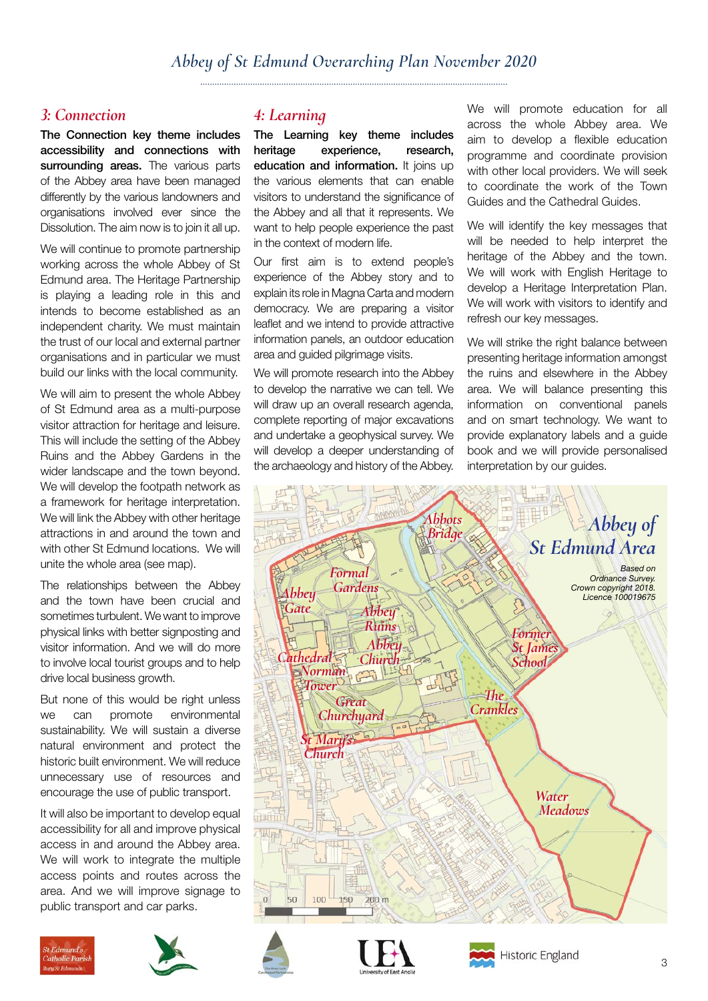## *3: Connection*

The Connection key theme includes accessibility and connections with surrounding areas. The various parts of the Abbey area have been managed differently by the various landowners and organisations involved ever since the Dissolution. The aim now is to join it all up.

We will continue to promote partnership working across the whole Abbey of St Edmund area. The Heritage Partnership is playing a leading role in this and intends to become established as an independent charity. We must maintain the trust of our local and external partner organisations and in particular we must build our links with the local community.

We will aim to present the whole Abbey of St Edmund area as a multi-purpose visitor attraction for heritage and leisure. This will include the setting of the Abbey Ruins and the Abbey Gardens in the wider landscape and the town beyond. We will develop the footpath network as a framework for heritage interpretation. We will link the Abbey with other heritage attractions in and around the town and with other St Edmund locations. We will unite the whole area (see map).

The relationships between the Abbey and the town have been crucial and sometimes turbulent. We want to improve physical links with better signposting and visitor information. And we will do more to involve local tourist groups and to help drive local business growth.

But none of this would be right unless we can promote environmental sustainability. We will sustain a diverse natural environment and protect the historic built environment. We will reduce unnecessary use of resources and encourage the use of public transport.

It will also be important to develop equal accessibility for all and improve physical access in and around the Abbey area. We will work to integrate the multiple access points and routes across the area. And we will improve signage to public transport and car parks.





## *4: Learning*

The Learning key theme includes heritage experience, research, education and information. It joins up the various elements that can enable visitors to understand the significance of the Abbey and all that it represents. We want to help people experience the past in the context of modern life.

Our first aim is to extend people's experience of the Abbey story and to explain its role in Magna Carta and modern democracy. We are preparing a visitor leaflet and we intend to provide attractive information panels, an outdoor education area and guided pilgrimage visits.

We will promote research into the Abbey to develop the narrative we can tell. We will draw up an overall research agenda, complete reporting of major excavations and undertake a geophysical survey. We will develop a deeper understanding of the archaeology and history of the Abbey.

We will promote education for all across the whole Abbey area. We aim to develop a flexible education programme and coordinate provision with other local providers. We will seek to coordinate the work of the Town Guides and the Cathedral Guides.

We will identify the key messages that will be needed to help interpret the heritage of the Abbey and the town. We will work with English Heritage to develop a Heritage Interpretation Plan. We will work with visitors to identify and refresh our key messages.

We will strike the right balance between presenting heritage information amongst the ruins and elsewhere in the Abbey area. We will balance presenting this information on conventional panels and on smart technology. We want to provide explanatory labels and a guide book and we will provide personalised interpretation by our guides.